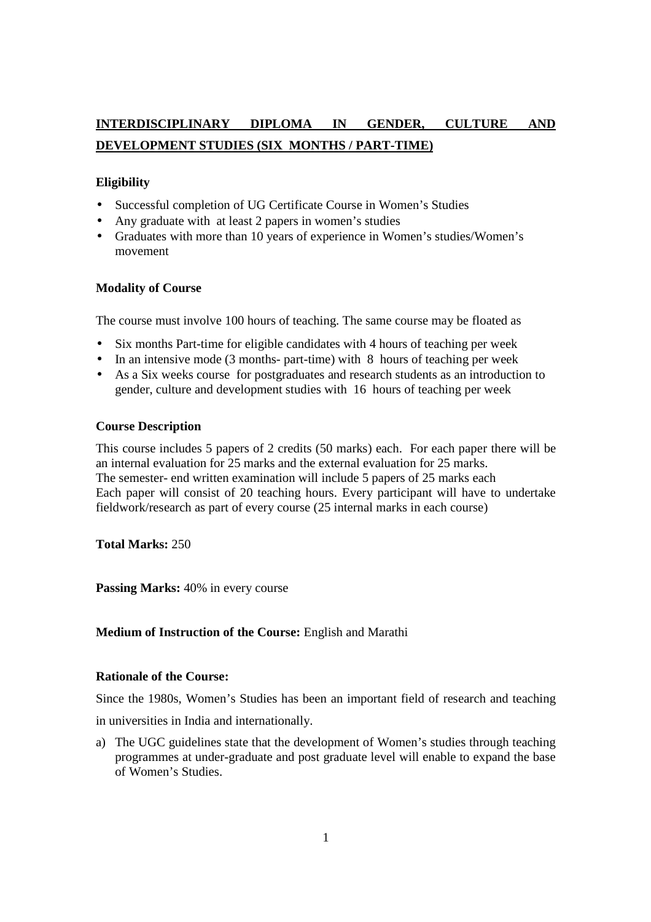# **INTERDISCIPLINARY DIPLOMA IN GENDER, CULTURE AND DEVELOPMENT STUDIES (SIX MONTHS / PART-TIME)**

## **Eligibility**

- Successful completion of UG Certificate Course in Women's Studies
- Any graduate with at least 2 papers in women's studies
- Graduates with more than 10 years of experience in Women's studies/Women's movement

## **Modality of Course**

The course must involve 100 hours of teaching. The same course may be floated as

- Six months Part-time for eligible candidates with 4 hours of teaching per week
- In an intensive mode (3 months- part-time) with 8 hours of teaching per week
- As a Six weeks course for postgraduates and research students as an introduction to gender, culture and development studies with 16 hours of teaching per week

## **Course Description**

This course includes 5 papers of 2 credits (50 marks) each. For each paper there will be an internal evaluation for 25 marks and the external evaluation for 25 marks. The semester- end written examination will include 5 papers of 25 marks each Each paper will consist of 20 teaching hours. Every participant will have to undertake fieldwork/research as part of every course (25 internal marks in each course)

**Total Marks:** 250

Passing Marks:  $40\%$  in every course

## **Medium of Instruction of the Course:** English and Marathi

## **Rationale of the Course:**

Since the 1980s, Women's Studies has been an important field of research and teaching

in universities in India and internationally.

a) The UGC guidelines state that the development of Women's studies through teaching programmes at under-graduate and post graduate level will enable to expand the base of Women's Studies.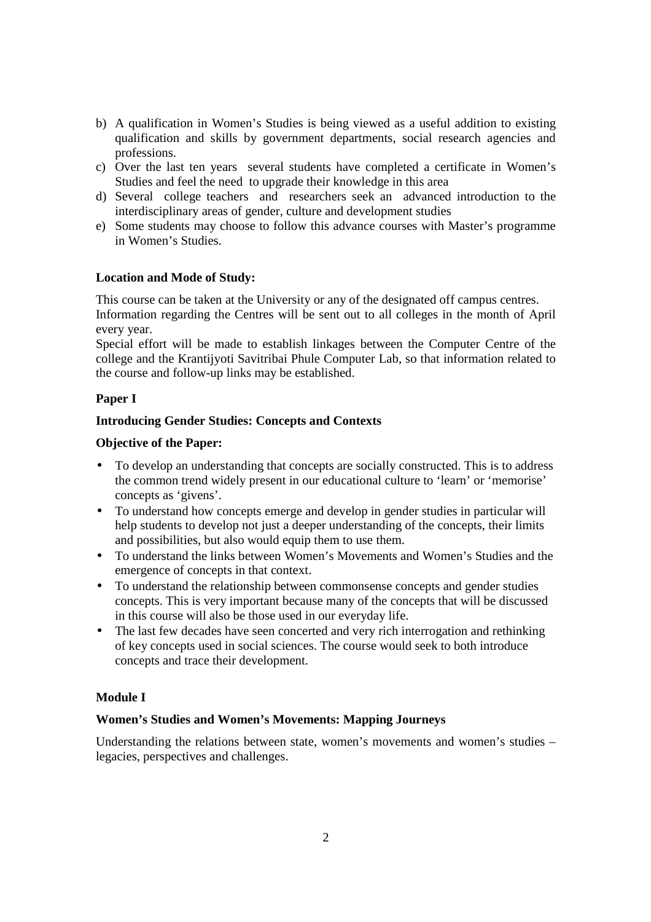- b) A qualification in Women's Studies is being viewed as a useful addition to existing qualification and skills by government departments, social research agencies and professions.
- c) Over the last ten years several students have completed a certificate in Women's Studies and feel the need to upgrade their knowledge in this area
- d) Several college teachers and researchers seek an advanced introduction to the interdisciplinary areas of gender, culture and development studies
- e) Some students may choose to follow this advance courses with Master's programme in Women's Studies.

## **Location and Mode of Study:**

This course can be taken at the University or any of the designated off campus centres.

Information regarding the Centres will be sent out to all colleges in the month of April every year.

Special effort will be made to establish linkages between the Computer Centre of the college and the Krantijyoti Savitribai Phule Computer Lab, so that information related to the course and follow-up links may be established.

## **Paper I**

## **Introducing Gender Studies: Concepts and Contexts**

## **Objective of the Paper:**

- To develop an understanding that concepts are socially constructed. This is to address the common trend widely present in our educational culture to 'learn' or 'memorise' concepts as 'givens'.
- To understand how concepts emerge and develop in gender studies in particular will help students to develop not just a deeper understanding of the concepts, their limits and possibilities, but also would equip them to use them.
- To understand the links between Women's Movements and Women's Studies and the emergence of concepts in that context.
- To understand the relationship between commonsense concepts and gender studies concepts. This is very important because many of the concepts that will be discussed in this course will also be those used in our everyday life.
- The last few decades have seen concerted and very rich interrogation and rethinking of key concepts used in social sciences. The course would seek to both introduce concepts and trace their development.

## **Module I**

## **Women's Studies and Women's Movements: Mapping Journeys**

Understanding the relations between state, women's movements and women's studies – legacies, perspectives and challenges.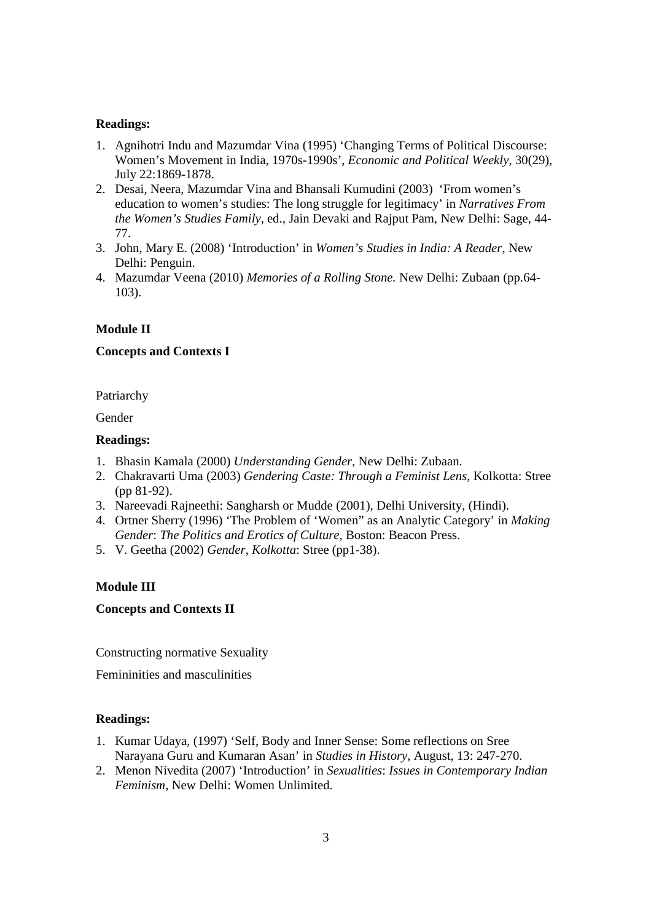## **Readings:**

- 1. Agnihotri Indu and Mazumdar Vina (1995) 'Changing Terms of Political Discourse: Women's Movement in India, 1970s-1990s', *Economic and Political Weekly*, 30(29), July 22:1869-1878.
- 2. Desai, Neera, Mazumdar Vina and Bhansali Kumudini (2003) 'From women's education to women's studies: The long struggle for legitimacy' in *Narratives From the Women's Studies Family*, ed., Jain Devaki and Rajput Pam, New Delhi: Sage, 44- 77.
- 3. John, Mary E. (2008) 'Introduction' in *Women's Studies in India: A Reader,* New Delhi: Penguin.
- 4. Mazumdar Veena (2010) *Memories of a Rolling Stone.* New Delhi: Zubaan (pp.64- 103).

## **Module II**

## **Concepts and Contexts I**

Patriarchy

Gender

## **Readings:**

- 1. Bhasin Kamala (2000) *Understanding Gender*, New Delhi: Zubaan.
- 2. Chakravarti Uma (2003) *Gendering Caste: Through a Feminist Lens*, Kolkotta: Stree (pp 81-92).
- 3. Nareevadi Rajneethi: Sangharsh or Mudde (2001), Delhi University, (Hindi).
- 4. Ortner Sherry (1996) 'The Problem of 'Women" as an Analytic Category' in *Making Gender*: *The Politics and Erotics of Culture*, Boston: Beacon Press.
- 5. V. Geetha (2002) *Gender, Kolkotta*: Stree (pp1-38).

## **Module III**

## **Concepts and Contexts II**

Constructing normative Sexuality

Femininities and masculinities

- 1. Kumar Udaya, (1997) 'Self, Body and Inner Sense: Some reflections on Sree Narayana Guru and Kumaran Asan' in *Studies in History,* August, 13: 247-270.
- 2. Menon Nivedita (2007) 'Introduction' in *Sexualities*: *Issues in Contemporary Indian Feminism*, New Delhi: Women Unlimited.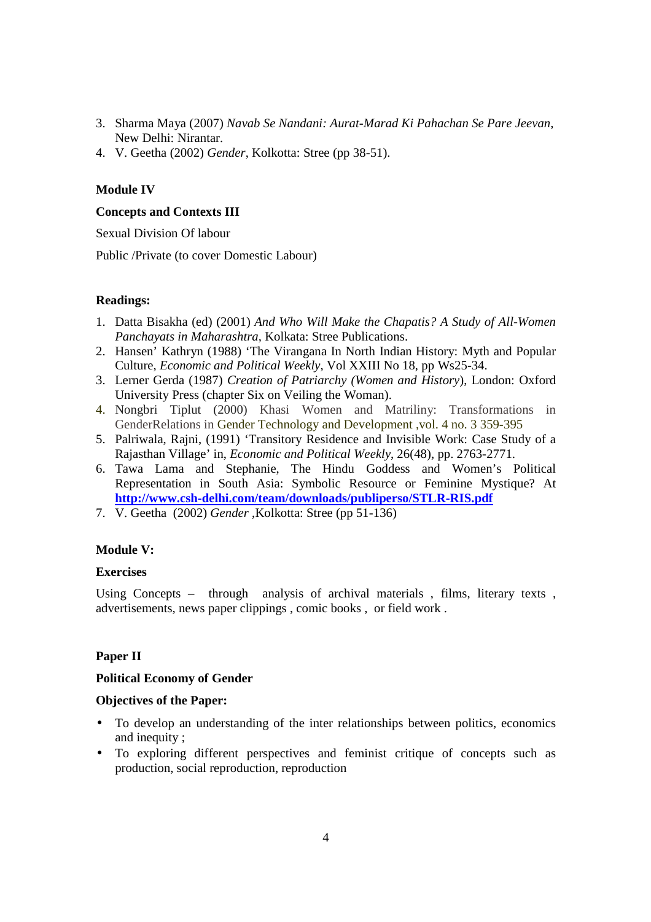- 3. Sharma Maya (2007) *Navab Se Nandani: Aurat-Marad Ki Pahachan Se Pare Jeevan*, New Delhi: Nirantar.
- 4. V. Geetha (2002) *Gender*, Kolkotta: Stree (pp 38-51).

## **Module IV**

## **Concepts and Contexts III**

Sexual Division Of labour

Public /Private (to cover Domestic Labour)

## **Readings:**

- 1. Datta Bisakha (ed) (2001) *And Who Will Make the Chapatis? A Study of All-Women Panchayats in Maharashtra,* Kolkata: Stree Publications.
- 2. Hansen' Kathryn (1988) 'The Virangana In North Indian History: Myth and Popular Culture, *Economic and Political Weekly*, Vol XXIII No 18, pp Ws25-34.
- 3. Lerner Gerda (1987) *Creation of Patriarchy (Women and History*), London: Oxford University Press (chapter Six on Veiling the Woman).
- 4. Nongbri Tiplut (2000) Khasi Women and Matriliny: Transformations in GenderRelations in Gender Technology and Development ,vol. 4 no. 3 359-395
- 5. Palriwala, Rajni, (1991) 'Transitory Residence and Invisible Work: Case Study of a Rajasthan Village' in, *Economic and Political Weekly*, 26(48), pp. 2763-2771.
- 6. Tawa Lama and Stephanie, The Hindu Goddess and Women's Political Representation in South Asia: Symbolic Resource or Feminine Mystique? At **http://www.csh-delhi.com/team/downloads/publiperso/STLR-RIS.pdf**
- 7. V. Geetha (2002) *Gender* ,Kolkotta: Stree (pp 51-136)

## **Module V:**

## **Exercises**

Using Concepts – through analysis of archival materials  $\epsilon$ , films, literary texts , advertisements, news paper clippings , comic books , or field work .

## **Paper II**

## **Political Economy of Gender**

## **Objectives of the Paper:**

- To develop an understanding of the inter relationships between politics, economics and inequity ;
- To exploring different perspectives and feminist critique of concepts such as production, social reproduction, reproduction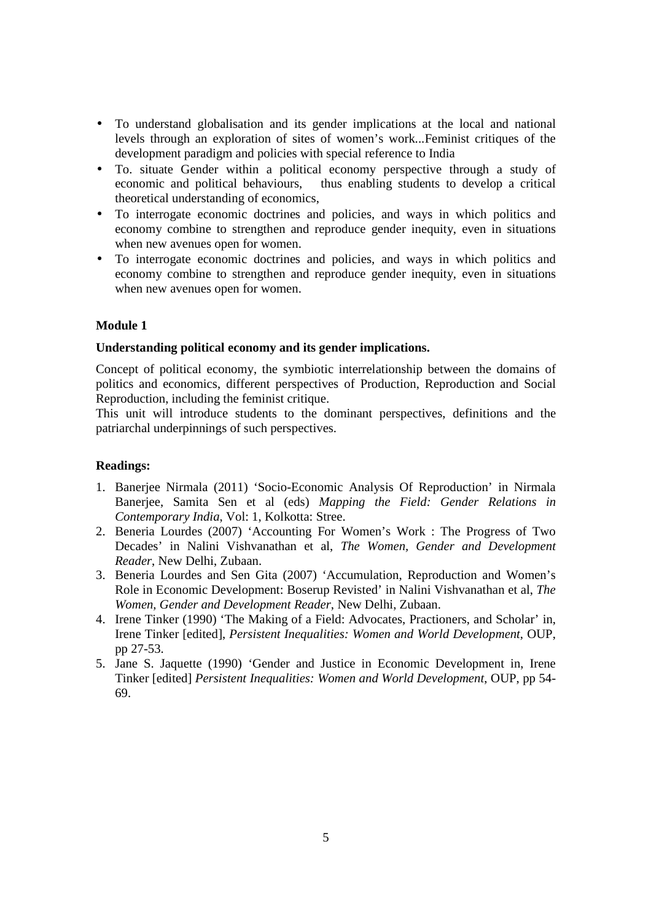- To understand globalisation and its gender implications at the local and national levels through an exploration of sites of women's work...Feminist critiques of the development paradigm and policies with special reference to India
- To. situate Gender within a political economy perspective through a study of economic and political behaviours, thus enabling students to develop a critical theoretical understanding of economics,
- To interrogate economic doctrines and policies, and ways in which politics and economy combine to strengthen and reproduce gender inequity, even in situations when new avenues open for women.
- To interrogate economic doctrines and policies, and ways in which politics and economy combine to strengthen and reproduce gender inequity, even in situations when new avenues open for women.

## **Module 1**

## **Understanding political economy and its gender implications.**

Concept of political economy, the symbiotic interrelationship between the domains of politics and economics, different perspectives of Production, Reproduction and Social Reproduction, including the feminist critique.

This unit will introduce students to the dominant perspectives, definitions and the patriarchal underpinnings of such perspectives.

- 1. Banerjee Nirmala (2011) 'Socio-Economic Analysis Of Reproduction' in Nirmala Banerjee, Samita Sen et al (eds) *Mapping the Field: Gender Relations in Contemporary India*, Vol: 1, Kolkotta: Stree.
- 2. Beneria Lourdes (2007) 'Accounting For Women's Work : The Progress of Two Decades' in Nalini Vishvanathan et al, *The Women, Gender and Development Reader*, New Delhi, Zubaan.
- 3. Beneria Lourdes and Sen Gita (2007) 'Accumulation, Reproduction and Women's Role in Economic Development: Boserup Revisted' in Nalini Vishvanathan et al, *The Women, Gender and Development Reader*, New Delhi, Zubaan.
- 4. Irene Tinker (1990) 'The Making of a Field: Advocates, Practioners, and Scholar' in, Irene Tinker [edited], *Persistent Inequalities: Women and World Development*, OUP, pp 27-53.
- 5. Jane S. Jaquette (1990) 'Gender and Justice in Economic Development in, Irene Tinker [edited] *Persistent Inequalities: Women and World Development*, OUP, pp 54- 69.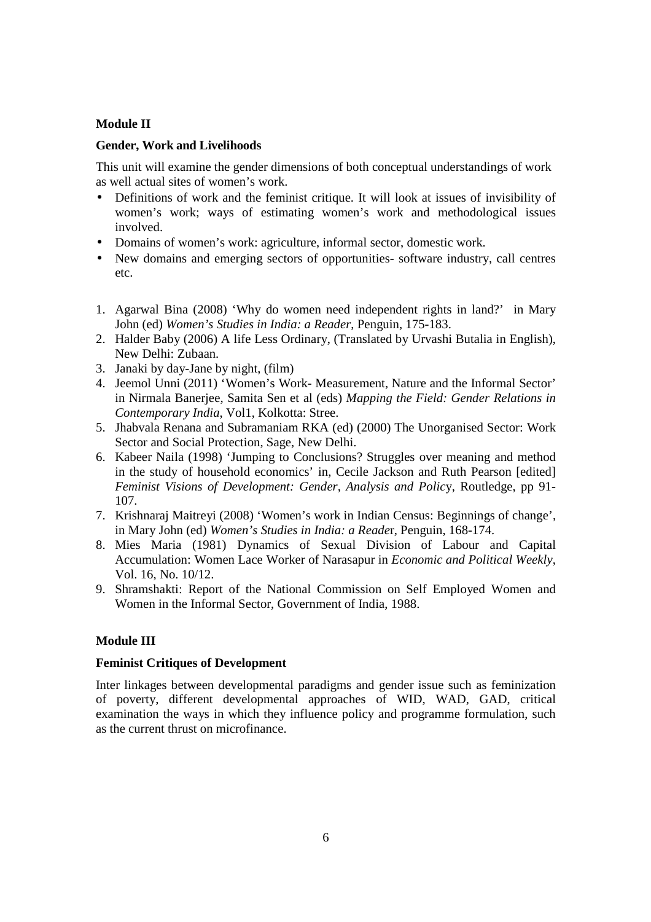## **Module II**

## **Gender, Work and Livelihoods**

This unit will examine the gender dimensions of both conceptual understandings of work as well actual sites of women's work.

- Definitions of work and the feminist critique. It will look at issues of invisibility of women's work; ways of estimating women's work and methodological issues involved.
- Domains of women's work: agriculture, informal sector, domestic work.
- New domains and emerging sectors of opportunities-software industry, call centres etc.
- 1. Agarwal Bina (2008) 'Why do women need independent rights in land?' in Mary John (ed) *Women's Studies in India: a Reader*, Penguin, 175-183.
- 2. Halder Baby (2006) A life Less Ordinary, (Translated by Urvashi Butalia in English), New Delhi: Zubaan.
- 3. Janaki by day-Jane by night, (film)
- 4. Jeemol Unni (2011) 'Women's Work- Measurement, Nature and the Informal Sector' in Nirmala Banerjee, Samita Sen et al (eds) *Mapping the Field: Gender Relations in Contemporary India*, Vol1, Kolkotta: Stree.
- 5. Jhabvala Renana and Subramaniam RKA (ed) (2000) The Unorganised Sector: Work Sector and Social Protection, Sage, New Delhi.
- 6. Kabeer Naila (1998) 'Jumping to Conclusions? Struggles over meaning and method in the study of household economics' in, Cecile Jackson and Ruth Pearson [edited] *Feminist Visions of Development: Gender, Analysis and Polic*y, Routledge, pp 91- 107.
- 7. Krishnaraj Maitreyi (2008) 'Women's work in Indian Census: Beginnings of change', in Mary John (ed) *Women's Studies in India: a Reade*r, Penguin, 168-174.
- 8. Mies Maria (1981) Dynamics of Sexual Division of Labour and Capital Accumulation: Women Lace Worker of Narasapur in *Economic and Political Weekly*, Vol. 16, No. 10/12.
- 9. Shramshakti: Report of the National Commission on Self Employed Women and Women in the Informal Sector, Government of India, 1988.

## **Module III**

## **Feminist Critiques of Development**

Inter linkages between developmental paradigms and gender issue such as feminization of poverty, different developmental approaches of WID, WAD, GAD, critical examination the ways in which they influence policy and programme formulation, such as the current thrust on microfinance.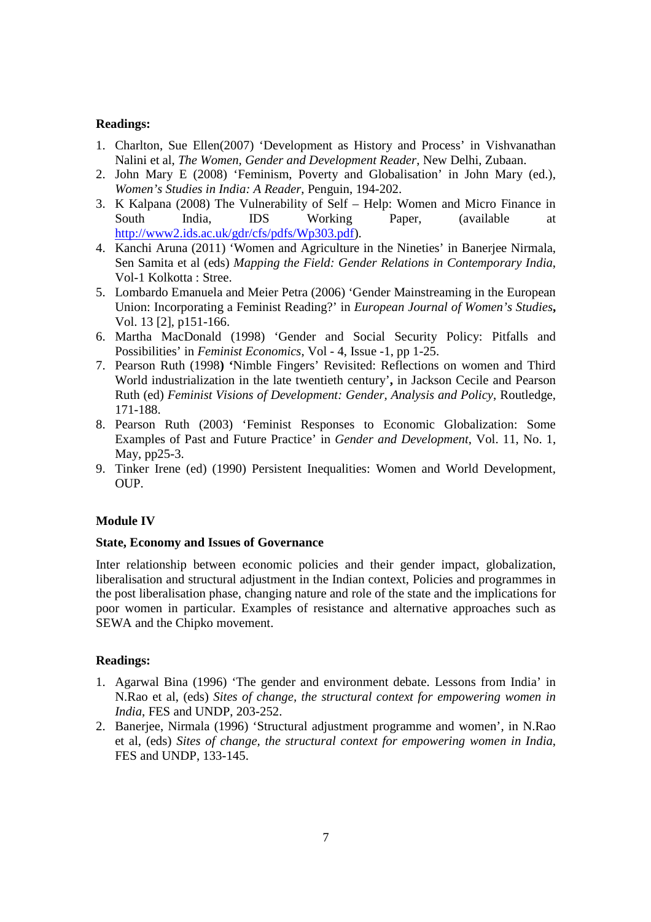## **Readings:**

- 1. Charlton, Sue Ellen(2007) 'Development as History and Process' in Vishvanathan Nalini et al, *The Women, Gender and Development Reader*, New Delhi, Zubaan.
- 2. John Mary E (2008) 'Feminism, Poverty and Globalisation' in John Mary (ed.), *Women's Studies in India: A Reader*, Penguin, 194-202.
- 3. K Kalpana (2008) The Vulnerability of Self Help: Women and Micro Finance in South India, IDS Working Paper, (available at http://www2.ids.ac.uk/gdr/cfs/pdfs/Wp303.pdf).
- 4. Kanchi Aruna (2011) 'Women and Agriculture in the Nineties' in Banerjee Nirmala, Sen Samita et al (eds) *Mapping the Field: Gender Relations in Contemporary India*, Vol-1 Kolkotta : Stree.
- 5. Lombardo Emanuela and Meier Petra (2006) 'Gender Mainstreaming in the European Union: Incorporating a Feminist Reading?' in *European Journal of Women's Studies***,** Vol. 13 [2], p151-166.
- 6. Martha MacDonald (1998) 'Gender and Social Security Policy: Pitfalls and Possibilities' in *Feminist Economics*, Vol - 4, Issue -1, pp 1-25.
- 7. Pearson Ruth (1998**) '**Nimble Fingers' Revisited: Reflections on women and Third World industrialization in the late twentieth century'**,** in Jackson Cecile and Pearson Ruth (ed) *Feminist Visions of Development: Gender, Analysis and Policy*, Routledge, 171-188.
- 8. Pearson Ruth (2003) 'Feminist Responses to Economic Globalization: Some Examples of Past and Future Practice' in *Gender and Development*, Vol. 11, No. 1, May, pp25-3.
- 9. Tinker Irene (ed) (1990) Persistent Inequalities: Women and World Development, OUP.

## **Module IV**

## **State, Economy and Issues of Governance**

Inter relationship between economic policies and their gender impact, globalization, liberalisation and structural adjustment in the Indian context, Policies and programmes in the post liberalisation phase, changing nature and role of the state and the implications for poor women in particular. Examples of resistance and alternative approaches such as SEWA and the Chipko movement.

- 1. Agarwal Bina (1996) 'The gender and environment debate. Lessons from India' in N.Rao et al, (eds) *Sites of change, the structural context for empowering women in India*, FES and UNDP, 203-252.
- 2. Banerjee, Nirmala (1996) 'Structural adjustment programme and women', in N.Rao et al, (eds) *Sites of change, the structural context for empowering women in India*, FES and UNDP, 133-145.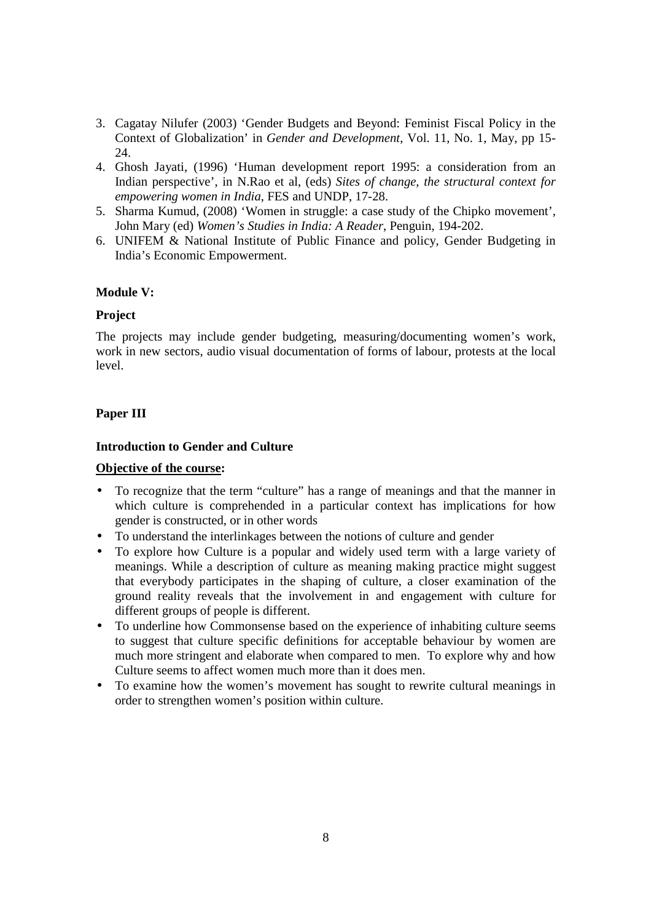- 3. Cagatay Nilufer (2003) 'Gender Budgets and Beyond: Feminist Fiscal Policy in the Context of Globalization' in *Gender and Development*, Vol. 11, No. 1, May, pp 15- 24.
- 4. Ghosh Jayati, (1996) 'Human development report 1995: a consideration from an Indian perspective', in N.Rao et al, (eds) *Sites of change, the structural context for empowering women in India*, FES and UNDP, 17-28.
- 5. Sharma Kumud, (2008) 'Women in struggle: a case study of the Chipko movement', John Mary (ed) *Women's Studies in India: A Reader*, Penguin, 194-202.
- 6. UNIFEM & National Institute of Public Finance and policy, Gender Budgeting in India's Economic Empowerment.

## **Module V:**

## **Project**

The projects may include gender budgeting, measuring/documenting women's work, work in new sectors, audio visual documentation of forms of labour, protests at the local level.

## **Paper III**

## **Introduction to Gender and Culture**

## **Objective of the course:**

- To recognize that the term "culture" has a range of meanings and that the manner in which culture is comprehended in a particular context has implications for how gender is constructed, or in other words
- To understand the interlinkages between the notions of culture and gender
- To explore how Culture is a popular and widely used term with a large variety of meanings. While a description of culture as meaning making practice might suggest that everybody participates in the shaping of culture, a closer examination of the ground reality reveals that the involvement in and engagement with culture for different groups of people is different.
- To underline how Commonsense based on the experience of inhabiting culture seems to suggest that culture specific definitions for acceptable behaviour by women are much more stringent and elaborate when compared to men. To explore why and how Culture seems to affect women much more than it does men.
- To examine how the women's movement has sought to rewrite cultural meanings in order to strengthen women's position within culture.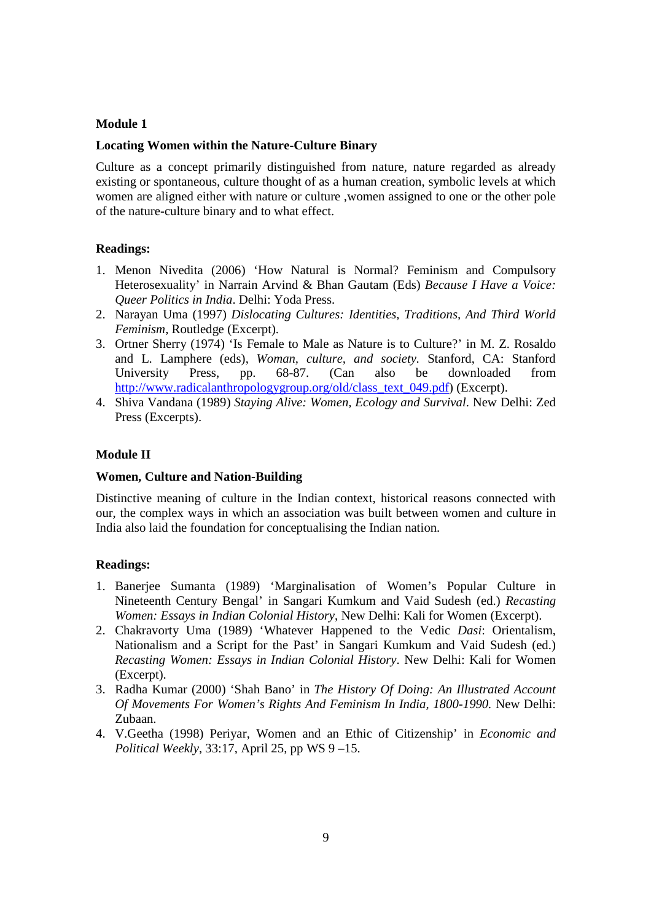## **Module 1**

#### **Locating Women within the Nature-Culture Binary**

Culture as a concept primarily distinguished from nature, nature regarded as already existing or spontaneous, culture thought of as a human creation, symbolic levels at which women are aligned either with nature or culture ,women assigned to one or the other pole of the nature-culture binary and to what effect.

## **Readings:**

- 1. Menon Nivedita (2006) 'How Natural is Normal? Feminism and Compulsory Heterosexuality' in Narrain Arvind & Bhan Gautam (Eds) *Because I Have a Voice: Queer Politics in India*. Delhi: Yoda Press.
- 2. Narayan Uma (1997) *Dislocating Cultures: Identities, Traditions, And Third World Feminism*, Routledge (Excerpt).
- 3. Ortner Sherry (1974) 'Is Female to Male as Nature is to Culture?' in M. Z. Rosaldo and L. Lamphere (eds), *Woman, culture, and society.* Stanford, CA: Stanford University Press, pp. 68-87. (Can also be downloaded from http://www.radicalanthropologygroup.org/old/class\_text\_049.pdf) (Excerpt).
- 4. Shiva Vandana (1989) *Staying Alive: Women, Ecology and Survival*. New Delhi: Zed Press (Excerpts).

#### **Module II**

#### **Women, Culture and Nation-Building**

Distinctive meaning of culture in the Indian context, historical reasons connected with our, the complex ways in which an association was built between women and culture in India also laid the foundation for conceptualising the Indian nation.

- 1. Banerjee Sumanta (1989) 'Marginalisation of Women's Popular Culture in Nineteenth Century Bengal' in Sangari Kumkum and Vaid Sudesh (ed.) *Recasting Women: Essays in Indian Colonial History*, New Delhi: Kali for Women (Excerpt).
- 2. Chakravorty Uma (1989) 'Whatever Happened to the Vedic *Dasi*: Orientalism, Nationalism and a Script for the Past' in Sangari Kumkum and Vaid Sudesh (ed.) *Recasting Women: Essays in Indian Colonial History*. New Delhi: Kali for Women (Excerpt).
- 3. Radha Kumar (2000) 'Shah Bano' in *The History Of Doing: An Illustrated Account Of Movements For Women's Rights And Feminism In India, 1800-1990.* New Delhi: Zubaan.
- 4. V.Geetha (1998) Periyar, Women and an Ethic of Citizenship' in *Economic and Political Weekly*, 33:17, April 25, pp WS 9 –15.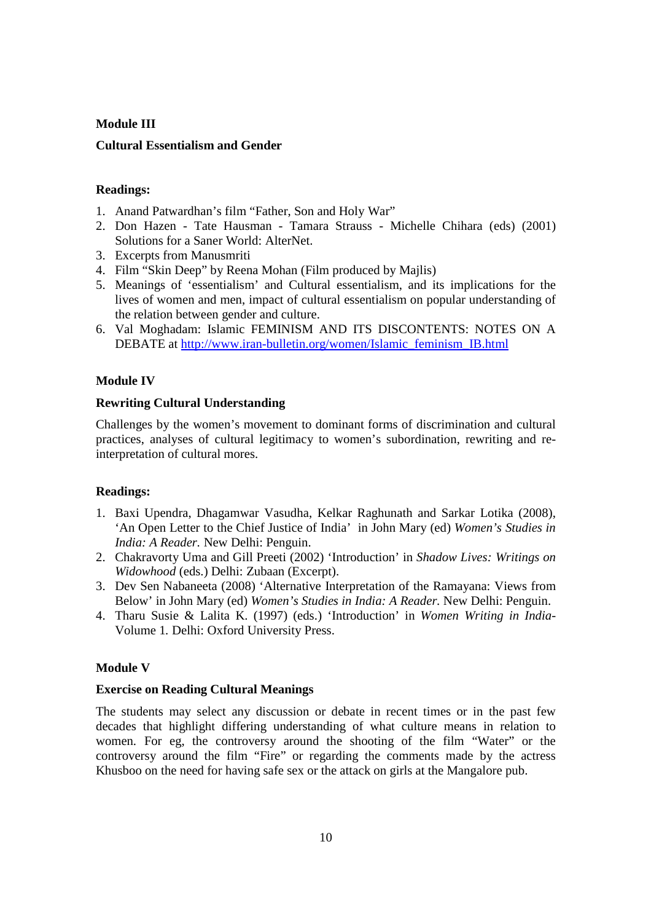# **Module III Cultural Essentialism and Gender**

## **Readings:**

- 1. Anand Patwardhan's film "Father, Son and Holy War"
- 2. Don Hazen Tate Hausman Tamara Strauss Michelle Chihara (eds) (2001) Solutions for a Saner World: AlterNet.
- 3. Excerpts from Manusmriti
- 4. Film "Skin Deep" by Reena Mohan (Film produced by Majlis)
- 5. Meanings of 'essentialism' and Cultural essentialism, and its implications for the lives of women and men, impact of cultural essentialism on popular understanding of the relation between gender and culture.
- 6. Val Moghadam: Islamic FEMINISM AND ITS DISCONTENTS: NOTES ON A DEBATE at http://www.iran-bulletin.org/women/Islamic\_feminism\_IB.html

## **Module IV**

## **Rewriting Cultural Understanding**

Challenges by the women's movement to dominant forms of discrimination and cultural practices, analyses of cultural legitimacy to women's subordination, rewriting and reinterpretation of cultural mores.

## **Readings:**

- 1. Baxi Upendra, Dhagamwar Vasudha, Kelkar Raghunath and Sarkar Lotika (2008), 'An Open Letter to the Chief Justice of India' in John Mary (ed) *Women's Studies in India: A Reader.* New Delhi: Penguin.
- 2. Chakravorty Uma and Gill Preeti (2002) 'Introduction' in *Shadow Lives: Writings on Widowhood* (eds.) Delhi: Zubaan (Excerpt).
- 3. Dev Sen Nabaneeta (2008) 'Alternative Interpretation of the Ramayana: Views from Below' in John Mary (ed) *Women's Studies in India: A Reader.* New Delhi: Penguin.
- 4. Tharu Susie & Lalita K. (1997) (eds.) 'Introduction' in *Women Writing in India-*Volume 1*.* Delhi: Oxford University Press.

## **Module V**

## **Exercise on Reading Cultural Meanings**

The students may select any discussion or debate in recent times or in the past few decades that highlight differing understanding of what culture means in relation to women. For eg, the controversy around the shooting of the film "Water" or the controversy around the film "Fire" or regarding the comments made by the actress Khusboo on the need for having safe sex or the attack on girls at the Mangalore pub.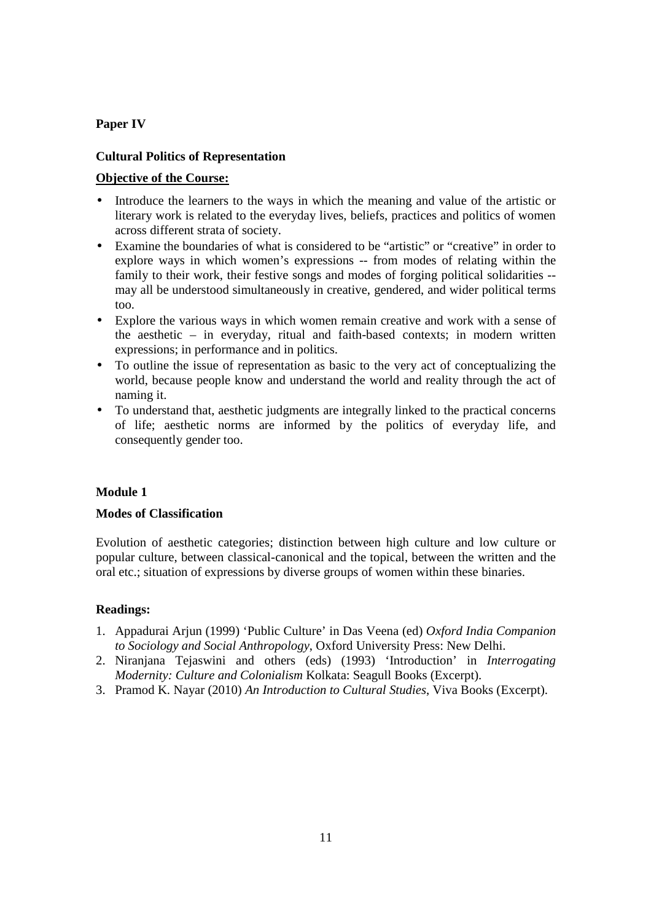## **Paper IV**

## **Cultural Politics of Representation**

## **Objective of the Course:**

- Introduce the learners to the ways in which the meaning and value of the artistic or literary work is related to the everyday lives, beliefs, practices and politics of women across different strata of society.
- Examine the boundaries of what is considered to be "artistic" or "creative" in order to explore ways in which women's expressions -- from modes of relating within the family to their work, their festive songs and modes of forging political solidarities - may all be understood simultaneously in creative, gendered, and wider political terms too.
- Explore the various ways in which women remain creative and work with a sense of the aesthetic – in everyday, ritual and faith-based contexts; in modern written expressions; in performance and in politics.
- To outline the issue of representation as basic to the very act of conceptualizing the world, because people know and understand the world and reality through the act of naming it.
- To understand that, aesthetic judgments are integrally linked to the practical concerns of life; aesthetic norms are informed by the politics of everyday life, and consequently gender too.

## **Module 1**

## **Modes of Classification**

Evolution of aesthetic categories; distinction between high culture and low culture or popular culture, between classical-canonical and the topical, between the written and the oral etc.; situation of expressions by diverse groups of women within these binaries.

- 1. Appadurai Arjun (1999) 'Public Culture' in Das Veena (ed) *Oxford India Companion to Sociology and Social Anthropology*, Oxford University Press: New Delhi.
- 2. Niranjana Tejaswini and others (eds) (1993) 'Introduction' in *Interrogating Modernity: Culture and Colonialism* Kolkata: Seagull Books (Excerpt).
- 3. Pramod K. Nayar (2010) *An Introduction to Cultural Studies*, Viva Books (Excerpt).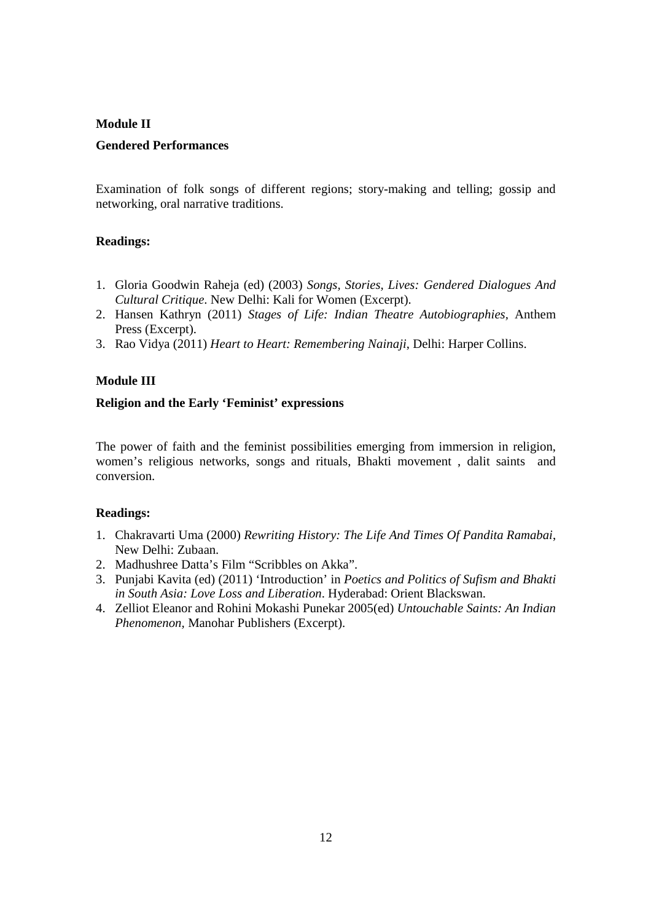# **Module II Gendered Performances**

Examination of folk songs of different regions; story-making and telling; gossip and networking, oral narrative traditions.

## **Readings:**

- 1. Gloria Goodwin Raheja (ed) (2003) *Songs, Stories, Lives: Gendered Dialogues And Cultural Critique*. New Delhi: Kali for Women (Excerpt).
- 2. Hansen Kathryn (2011) *Stages of Life: Indian Theatre Autobiographies,* Anthem Press (Excerpt).
- 3. Rao Vidya (2011) *Heart to Heart: Remembering Nainaji*, Delhi: Harper Collins.

## **Module III**

## **Religion and the Early 'Feminist' expressions**

The power of faith and the feminist possibilities emerging from immersion in religion, women's religious networks, songs and rituals, Bhakti movement , dalit saints and conversion.

- 1. Chakravarti Uma (2000) *Rewriting History: The Life And Times Of Pandita Ramabai*, New Delhi: Zubaan.
- 2. Madhushree Datta's Film "Scribbles on Akka".
- 3. Punjabi Kavita (ed) (2011) 'Introduction' in *Poetics and Politics of Sufism and Bhakti in South Asia: Love Loss and Liberation*. Hyderabad: Orient Blackswan.
- 4. Zelliot Eleanor and Rohini Mokashi Punekar 2005(ed) *Untouchable Saints: An Indian Phenomenon,* Manohar Publishers (Excerpt).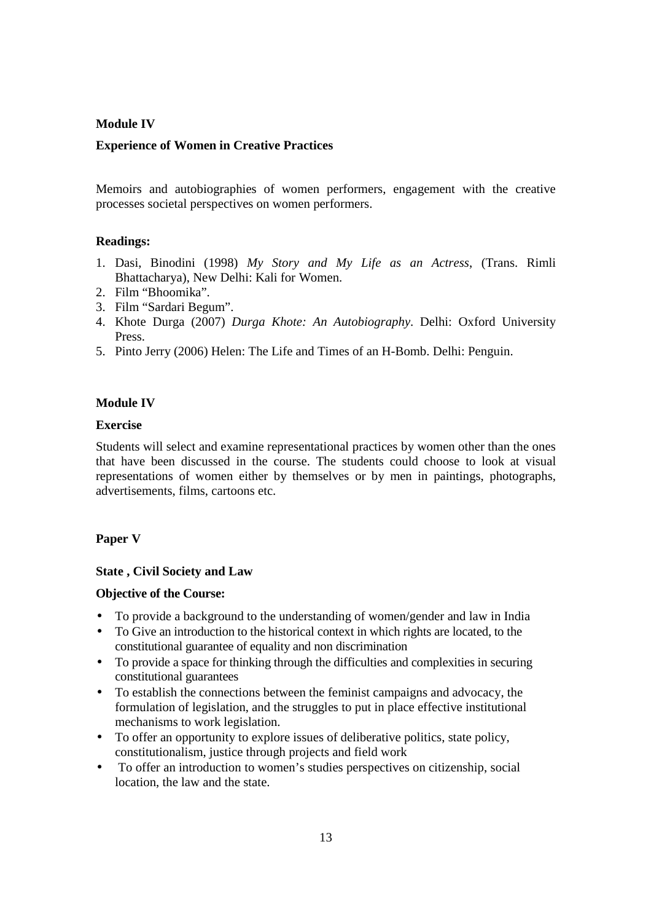## **Module IV**

## **Experience of Women in Creative Practices**

Memoirs and autobiographies of women performers, engagement with the creative processes societal perspectives on women performers.

## **Readings:**

- 1. Dasi, Binodini (1998) *My Story and My Life as an Actress*, (Trans. Rimli Bhattacharya), New Delhi: Kali for Women.
- 2. Film "Bhoomika".
- 3. Film "Sardari Begum".
- 4. Khote Durga (2007) *Durga Khote: An Autobiography*. Delhi: Oxford University Press.
- 5. Pinto Jerry (2006) Helen: The Life and Times of an H-Bomb. Delhi: Penguin.

## **Module IV**

## **Exercise**

Students will select and examine representational practices by women other than the ones that have been discussed in the course. The students could choose to look at visual representations of women either by themselves or by men in paintings, photographs, advertisements, films, cartoons etc.

## **Paper V**

## **State , Civil Society and Law**

## **Objective of the Course:**

- To provide a background to the understanding of women/gender and law in India
- To Give an introduction to the historical context in which rights are located, to the constitutional guarantee of equality and non discrimination
- To provide a space for thinking through the difficulties and complexities in securing constitutional guarantees
- To establish the connections between the feminist campaigns and advocacy, the formulation of legislation, and the struggles to put in place effective institutional mechanisms to work legislation.
- To offer an opportunity to explore issues of deliberative politics, state policy, constitutionalism, justice through projects and field work
- To offer an introduction to women's studies perspectives on citizenship, social location, the law and the state.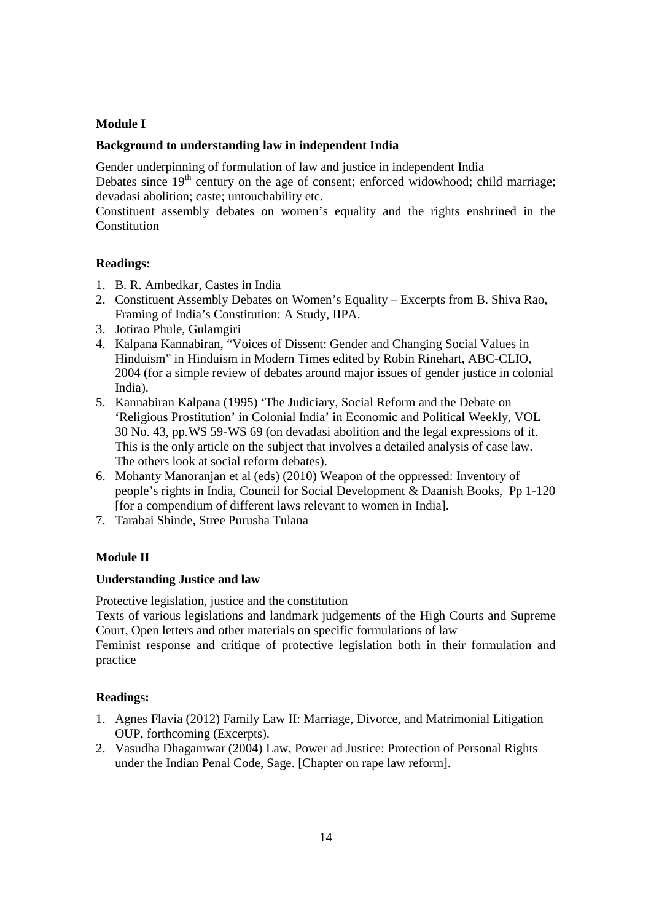## **Module I**

## **Background to understanding law in independent India**

Gender underpinning of formulation of law and justice in independent India

Debates since  $19<sup>th</sup>$  century on the age of consent; enforced widowhood; child marriage; devadasi abolition; caste; untouchability etc.

Constituent assembly debates on women's equality and the rights enshrined in the Constitution

## **Readings:**

- 1. B. R. Ambedkar, Castes in India
- 2. Constituent Assembly Debates on Women's Equality Excerpts from B. Shiva Rao, Framing of India's Constitution: A Study, IIPA.
- 3. Jotirao Phule, Gulamgiri
- 4. Kalpana Kannabiran, "Voices of Dissent: Gender and Changing Social Values in Hinduism" in Hinduism in Modern Times edited by Robin Rinehart, ABC-CLIO, 2004 (for a simple review of debates around major issues of gender justice in colonial India).
- 5. Kannabiran Kalpana (1995) 'The Judiciary, Social Reform and the Debate on 'Religious Prostitution' in Colonial India' in Economic and Political Weekly, VOL 30 No. 43, pp.WS 59-WS 69 (on devadasi abolition and the legal expressions of it. This is the only article on the subject that involves a detailed analysis of case law. The others look at social reform debates).
- 6. Mohanty Manoranjan et al (eds) (2010) Weapon of the oppressed: Inventory of people's rights in India, Council for Social Development & Daanish Books, Pp 1-120 [for a compendium of different laws relevant to women in India].
- 7. Tarabai Shinde, Stree Purusha Tulana

## **Module II**

## **Understanding Justice and law**

Protective legislation, justice and the constitution

Texts of various legislations and landmark judgements of the High Courts and Supreme Court, Open letters and other materials on specific formulations of law

Feminist response and critique of protective legislation both in their formulation and practice

- 1. Agnes Flavia (2012) Family Law II: Marriage, Divorce, and Matrimonial Litigation OUP, forthcoming (Excerpts).
- 2. Vasudha Dhagamwar (2004) Law, Power ad Justice: Protection of Personal Rights under the Indian Penal Code, Sage. [Chapter on rape law reform].